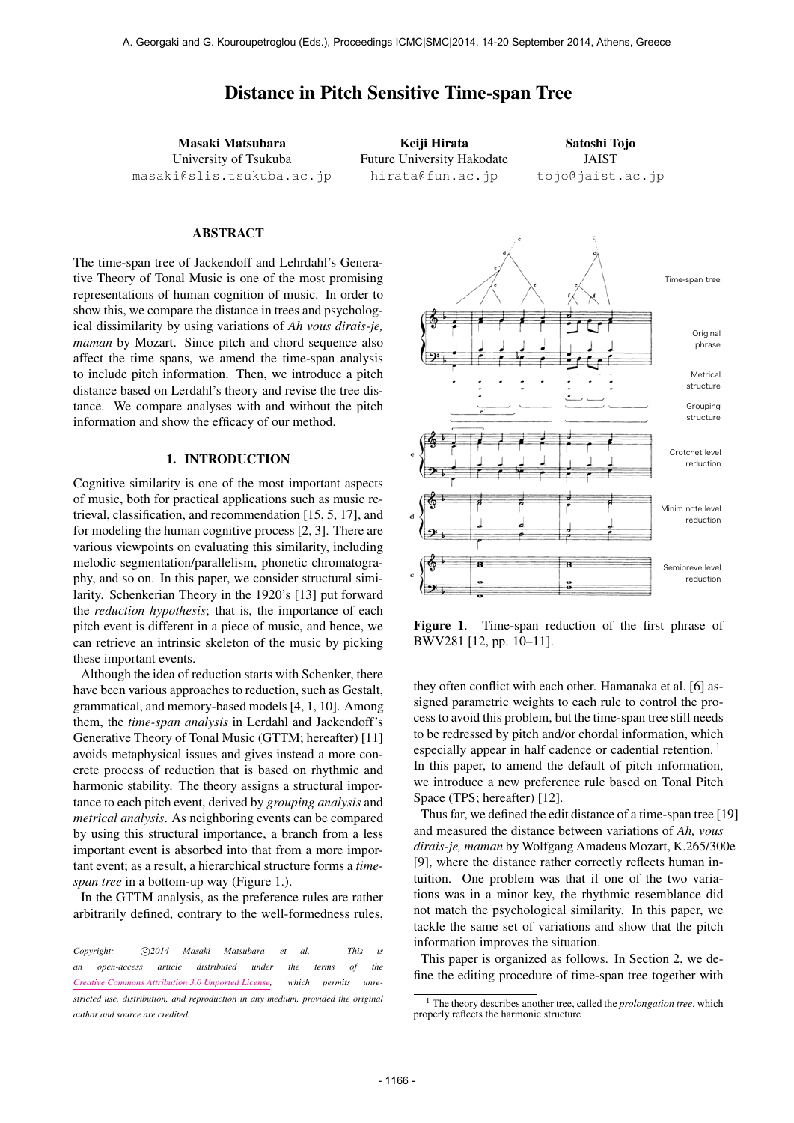# Distance in Pitch Sensitive Time-span Tree

Masaki Matsubara University of Tsukuba [masaki@slis.tsukuba.ac.jp](mailto:masaki@slis.tsukuba.ac.jp)

Keiji Hirata Future University Hakodate [hirata@fun.ac.jp](mailto:hirata@fun.ac.jp)

Satoshi Tojo JAIST [tojo@jaist.ac.jp](mailto:tojo@jaist.ac.jp)

#### ABSTRACT

The time-span tree of Jackendoff and Lehrdahl's Generative Theory of Tonal Music is one of the most promising representations of human cognition of music. In order to show this, we compare the distance in trees and psychological dissimilarity by using variations of *Ah vous dirais-je, maman* by Mozart. Since pitch and chord sequence also affect the time spans, we amend the time-span analysis to include pitch information. Then, we introduce a pitch distance based on Lerdahl's theory and revise the tree distance. We compare analyses with and without the pitch information and show the efficacy of our method.

## 1. INTRODUCTION

Cognitive similarity is one of the most important aspects of music, both for practical applications such as music retrieval, classification, and recommendation [15, 5, 17], and for modeling the human cognitive process [2, 3]. There are various viewpoints on evaluating this similarity, including melodic segmentation/parallelism, phonetic chromatography, and so on. In this paper, we consider structural similarity. Schenkerian Theory in the 1920's [13] put forward the *reduction hypothesis*; that is, the importance of each pitch event is different in a piece of music, and hence, we can retrieve an intrinsic skeleton of the music by picking these important events.

Although the idea of reduction starts with Schenker, there have been various approaches to reduction, such as Gestalt, grammatical, and memory-based models [4, 1, 10]. Among them, the *time-span analysis* in Lerdahl and Jackendoff's Generative Theory of Tonal Music (GTTM; hereafter) [11] avoids metaphysical issues and gives instead a more concrete process of reduction that is based on rhythmic and harmonic stability. The theory assigns a structural importance to each pitch event, derived by *grouping analysis* and *metrical analysis*. As neighboring events can be compared by using this structural importance, a branch from a less important event is absorbed into that from a more important event; as a result, a hierarchical structure forms a *timespan tree* in a bottom-up way (Figure 1.).

In the GTTM analysis, as the preference rules are rather arbitrarily defined, contrary to the well-formedness rules,



Figure 1. Time-span reduction of the first phrase of BWV281 [12, pp. 10–11].

they often conflict with each other. Hamanaka et al. [6] assigned parametric weights to each rule to control the process to avoid this problem, but the time-span tree still needs to be redressed by pitch and/or chordal information, which especially appear in half cadence or cadential retention.<sup>1</sup> In this paper, to amend the default of pitch information, we introduce a new preference rule based on Tonal Pitch Space (TPS; hereafter) [12].

Thus far, we defined the edit distance of a time-span tree [19] and measured the distance between variations of *Ah, vous dirais-je, maman* by Wolfgang Amadeus Mozart, K.265/300e [9], where the distance rather correctly reflects human intuition. One problem was that if one of the two variations was in a minor key, the rhythmic resemblance did not match the psychological similarity. In this paper, we tackle the same set of variations and show that the pitch information improves the situation.

This paper is organized as follows. In Section 2, we define the editing procedure of time-span tree together with

*Copyright:*  $\bigcirc$ 2014 Masaki Matsubara et al. This is *an open-access article distributed under the terms of the [Creative Commons Attribution 3.0 Unported License,](http://creativecommons.org/licenses/by/3.0/) which permits unrestricted use, distribution, and reproduction in any medium, provided the original author and source are credited.*

<sup>1</sup> The theory describes another tree, called the *prolongation tree*, which properly reflects the harmonic structure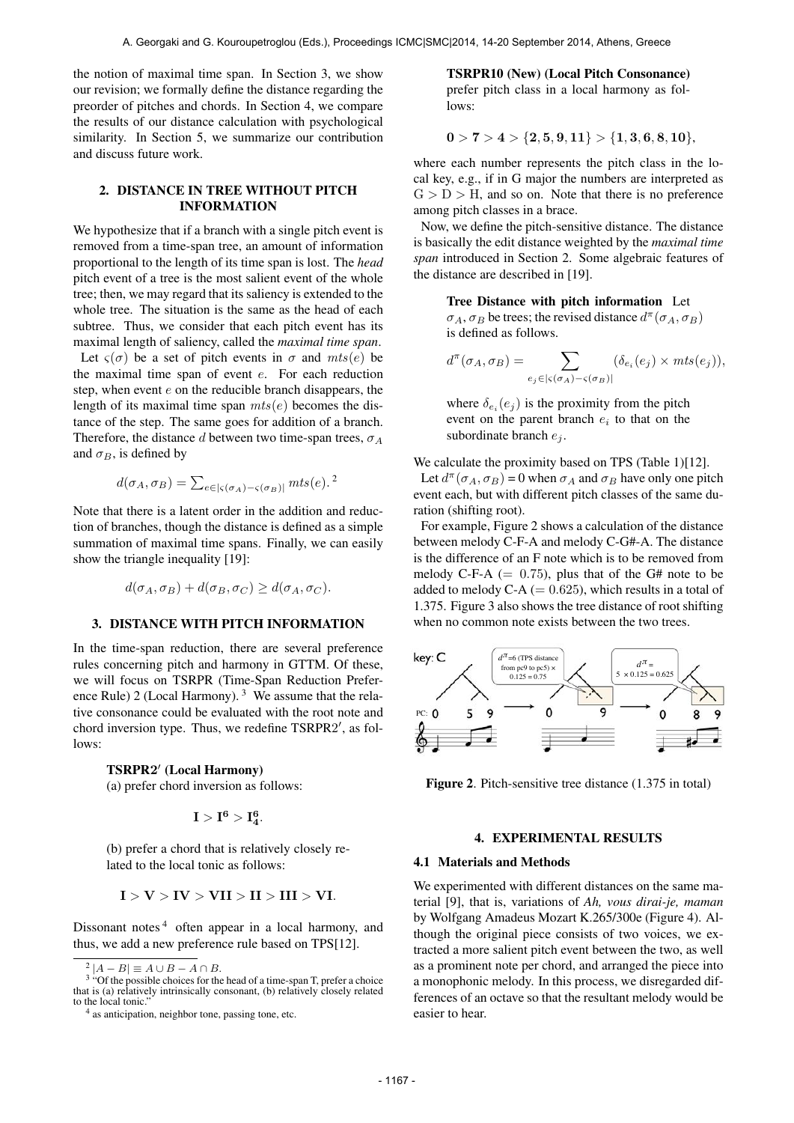the notion of maximal time span. In Section 3, we show our revision; we formally define the distance regarding the preorder of pitches and chords. In Section 4, we compare the results of our distance calculation with psychological similarity. In Section 5, we summarize our contribution and discuss future work.

## 2. DISTANCE IN TREE WITHOUT PITCH INFORMATION

We hypothesize that if a branch with a single pitch event is removed from a time-span tree, an amount of information proportional to the length of its time span is lost. The *head* pitch event of a tree is the most salient event of the whole tree; then, we may regard that its saliency is extended to the whole tree. The situation is the same as the head of each subtree. Thus, we consider that each pitch event has its maximal length of saliency, called the *maximal time span*. Let  $\varsigma(\sigma)$  be a set of pitch events in  $\sigma$  and  $mts(e)$  be the maximal time span of event  $e$ . For each reduction

step, when event  $e$  on the reducible branch disappears, the length of its maximal time span  $mts(e)$  becomes the distance of the step. The same goes for addition of a branch. Therefore, the distance d between two time-span trees,  $\sigma_A$ and  $\sigma_B$ , is defined by

$$
d(\sigma_A, \sigma_B) = \sum_{e \in |\varsigma(\sigma_A) - \varsigma(\sigma_B)|} mts(e).
$$

Note that there is a latent order in the addition and reduction of branches, though the distance is defined as a simple summation of maximal time spans. Finally, we can easily show the triangle inequality [19]:

$$
d(\sigma_A, \sigma_B) + d(\sigma_B, \sigma_C) \ge d(\sigma_A, \sigma_C).
$$

#### 3. DISTANCE WITH PITCH INFORMATION

In the time-span reduction, there are several preference rules concerning pitch and harmony in GTTM. Of these, we will focus on TSRPR (Time-Span Reduction Preference Rule) 2 (Local Harmony).  $3$  We assume that the relative consonance could be evaluated with the root note and chord inversion type. Thus, we redefine TSRPR2', as follows:

# TSRPR2' (Local Harmony)

(a) prefer chord inversion as follows:

$$
I > I^6 > I_4^6. \\
$$

(b) prefer a chord that is relatively closely related to the local tonic as follows:

$$
I>V>IV>VII>II>III>III>VI.
$$

Dissonant notes  $4$  often appear in a local harmony, and thus, we add a new preference rule based on TPS[12].

TSRPR10 (New) (Local Pitch Consonance) prefer pitch class in a local harmony as follows:

$$
0>7>4>\{2,5,9,11\}>\{1,3,6,8,10\},
$$

where each number represents the pitch class in the local key, e.g., if in G major the numbers are interpreted as  $G > D > H$ , and so on. Note that there is no preference among pitch classes in a brace.

Now, we define the pitch-sensitive distance. The distance is basically the edit distance weighted by the *maximal time span* introduced in Section 2. Some algebraic features of the distance are described in [19].

> Tree Distance with pitch information Let  $\sigma_A$ ,  $\sigma_B$  be trees; the revised distance  $d^{\pi}(\sigma_A, \sigma_B)$

is defined as follows.

$$
d^{\pi}(\sigma_A, \sigma_B) = \sum_{e_j \in |\varsigma(\sigma_A) - \varsigma(\sigma_B)|} (\delta_{e_i}(e_j) \times mts(e_j)),
$$

where  $\delta_{e_i}(e_j)$  is the proximity from the pitch event on the parent branch  $e_i$  to that on the subordinate branch  $e_i$ .

We calculate the proximity based on TPS (Table 1)[12].

Let  $d^{\pi}(\sigma_A, \sigma_B) = 0$  when  $\sigma_A$  and  $\sigma_B$  have only one pitch event each, but with different pitch classes of the same duration (shifting root).

For example, Figure 2 shows a calculation of the distance between melody C-F-A and melody C-G#-A. The distance is the difference of an F note which is to be removed from melody C-F-A  $(= 0.75)$ , plus that of the G# note to be added to melody C-A  $(= 0.625)$ , which results in a total of 1.375. Figure 3 also shows the tree distance of root shifting when no common note exists between the two trees.



Figure 2. Pitch-sensitive tree distance  $(1.375 \text{ in total})$ 

## 4. EXPERIMENTAL RESULTS

#### 4.1 Materials and Methods

We experimented with different distances on the same material [9], that is, variations of *Ah, vous dirai-je, maman* by Wolfgang Amadeus Mozart K.265/300e (Figure 4). Although the original piece consists of two voices, we extracted a more salient pitch event between the two, as well as a prominent note per chord, and arranged the piece into a monophonic melody. In this process, we disregarded differences of an octave so that the resultant melody would be easier to hear.

 $2|A-B| \equiv A \cup B - A \cap B$ .

<sup>&</sup>lt;sup>3</sup> "Of the possible choices for the head of a time-span T, prefer a choice that is (a) relatively intrinsically consonant, (b) relatively closely related to the local tonic.

<sup>&</sup>lt;sup>4</sup> as anticipation, neighbor tone, passing tone, etc.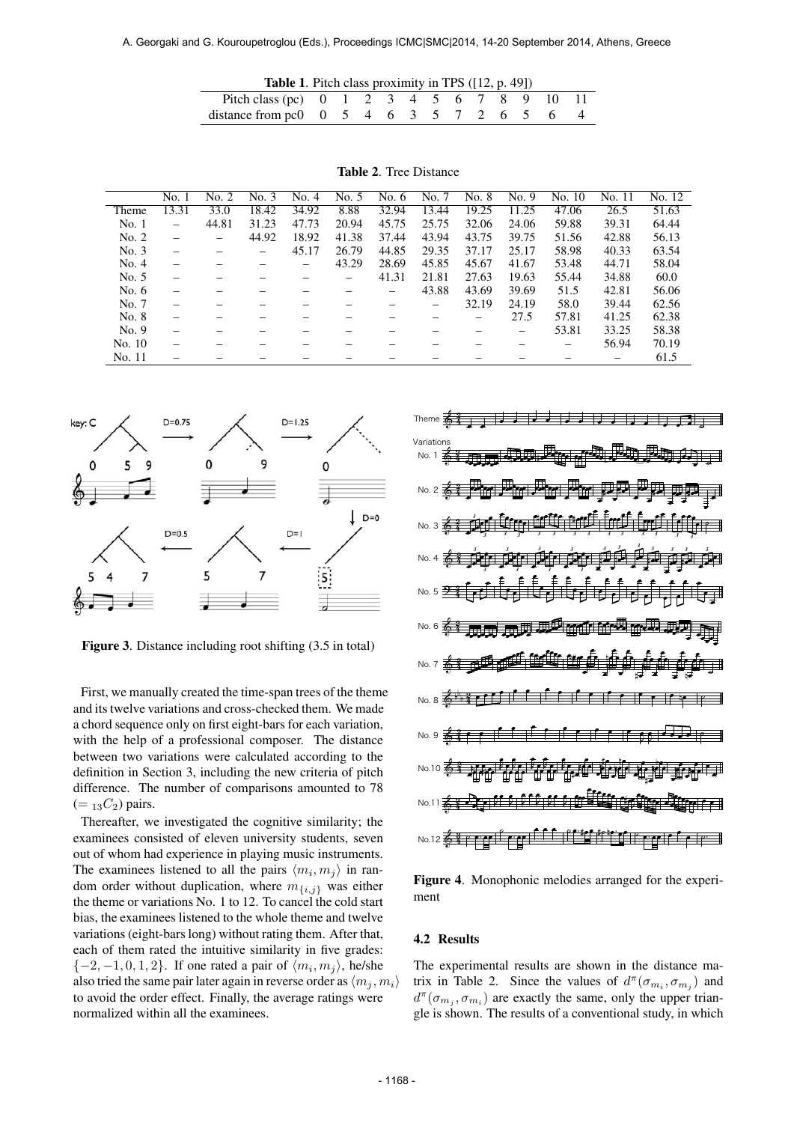| <b>Table 1.</b> Pitch class proximity in TPS $(12, p. 49)$ |  |  |  |  |  |  |
|------------------------------------------------------------|--|--|--|--|--|--|
| Pitch class (pc) 0 1 2 3 4 5 6 7 8 9 10 11                 |  |  |  |  |  |  |
| distance from pc0 $0\ 5\ 4\ 6\ 3\ 5\ 7\ 2\ 6\ 5\ 6\ 4$     |  |  |  |  |  |  |

|         | No. 1 | No. 2                    | No. 3 | No. 4 | No. 5 | No. 6 | No. 7 | No. 8 | No. 9 | No. 10 | No. 11 | No. 12 |
|---------|-------|--------------------------|-------|-------|-------|-------|-------|-------|-------|--------|--------|--------|
| Theme   | 13.31 | 33.0                     | 18.42 | 34.92 | 8.88  | 32.94 | 13.44 | 19.25 | 11.25 | 47.06  | 26.5   | 51.63  |
| No.1    |       | 44.81                    | 31.23 | 47.73 | 20.94 | 45.75 | 25.75 | 32.06 | 24.06 | 59.88  | 39.31  | 64.44  |
| No. 2   |       | $\overline{\phantom{0}}$ | 44.92 | 18.92 | 41.38 | 37.44 | 43.94 | 43.75 | 39.75 | 51.56  | 42.88  | 56.13  |
| No. 3   |       |                          |       | 45.17 | 26.79 | 44.85 | 29.35 | 37.17 | 25.17 | 58.98  | 40.33  | 63.54  |
| No. 4   |       |                          |       |       | 43.29 | 28.69 | 45.85 | 45.67 | 41.67 | 53.48  | 44.71  | 58.04  |
| No. 5   |       |                          |       |       |       | 41.31 | 21.81 | 27.63 | 19.63 | 55.44  | 34.88  | 60.0   |
| No. $6$ |       |                          |       |       |       |       | 43.88 | 43.69 | 39.69 | 51.5   | 42.81  | 56.06  |
| No. 7   |       |                          |       |       |       |       |       | 32.19 | 24.19 | 58.0   | 39.44  | 62.56  |
| No. 8   |       |                          |       |       |       |       |       |       | 27.5  | 57.81  | 41.25  | 62.38  |
| No. 9   |       |                          |       |       |       |       |       |       |       | 53.81  | 33.25  | 58.38  |
| No. 10  |       |                          |       |       |       |       |       |       |       |        | 56.94  | 70.19  |
| No. 11  |       |                          |       |       |       |       |       |       |       |        |        | 61.5   |

Table 2. Tree Distance



Figure 3. Distance including root shifting (3.5 in total)

First, we manually created the time-span trees of the theme and its twelve variations and cross-checked them. We made a chord sequence only on first eight-bars for each variation, with the help of a professional composer. The distance between two variations were calculated according to the definition in Section 3, including the new criteria of pitch difference. The number of comparisons amounted to 78  $(=_{13}C_2)$  pairs.

Thereafter, we investigated the cognitive similarity; the examinees consisted of eleven university students, seven out of whom had experience in playing music instruments. The examinees listened to all the pairs  $\langle m_i, m_j \rangle$  in random order without duplication, where  $m_{\{i,j\}}$  was either the theme or variations No. 1 to 12. To cancel the cold start bias, the examinees listened to the whole theme and twelve variations (eight-bars long) without rating them. After that, each of them rated the intuitive similarity in five grades:  $\{-2, -1, 0, 1, 2\}$ . If one rated a pair of  $\langle m_i, m_j \rangle$ , he/she also tried the same pair later again in reverse order as  $\langle m_i, m_i \rangle$ to avoid the order effect. Finally, the average ratings were normalized within all the examinees.



Figure 4. Monophonic melodies arranged for the experiment

#### 4.2 Results

The experimental results are shown in the distance matrix in Table 2. Since the values of  $d^{\pi}(\sigma_{m_i}, \sigma_{m_j})$  and  $d^{\pi}(\sigma_{m_j}, \sigma_{m_i})$  are exactly the same, only the upper triangle is shown. The results of a conventional study, in which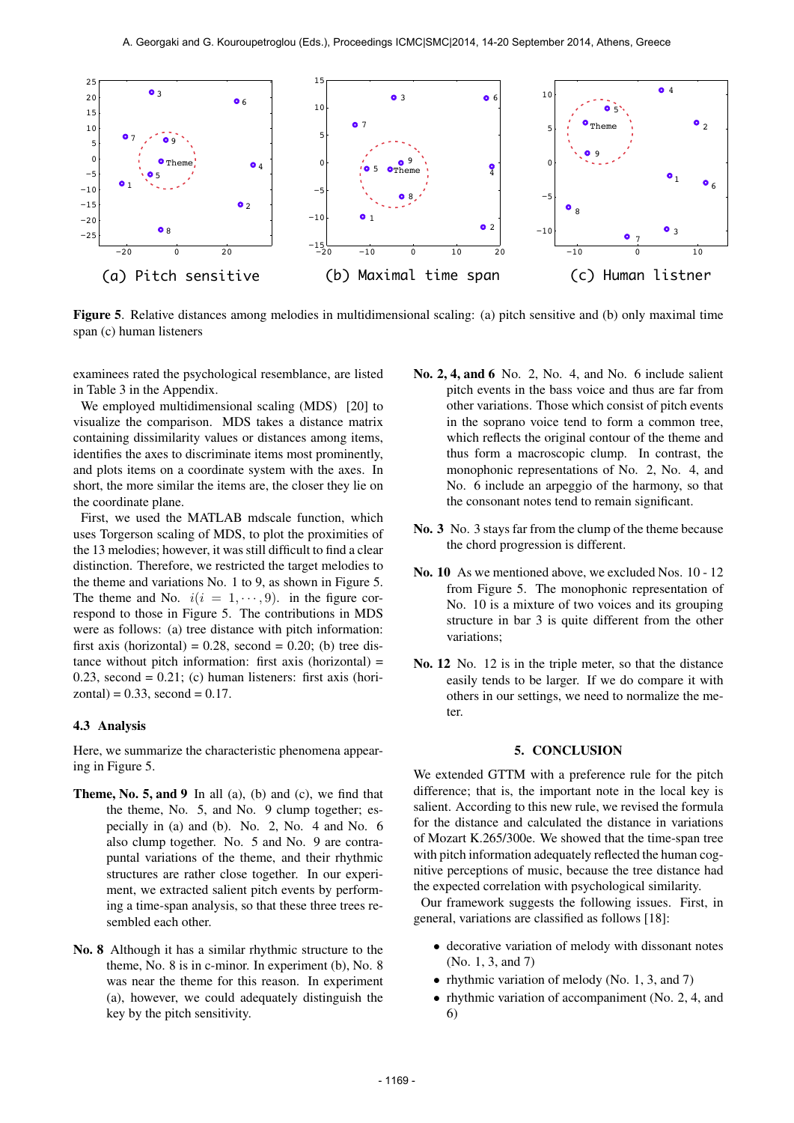

Figure 5. Relative distances among melodies in multidimensional scaling: (a) pitch sensitive and (b) only maximal time span (c) human listeners

examinees rated the psychological resemblance, are listed in Table 3 in the Appendix.

We employed multidimensional scaling (MDS) [20] to visualize the comparison. MDS takes a distance matrix containing dissimilarity values or distances among items, identifies the axes to discriminate items most prominently, and plots items on a coordinate system with the axes. In short, the more similar the items are, the closer they lie on the coordinate plane.

First, we used the MATLAB mdscale function, which uses Torgerson scaling of MDS, to plot the proximities of the 13 melodies; however, it was still difficult to find a clear distinction. Therefore, we restricted the target melodies to the theme and variations No. 1 to 9, as shown in Figure 5. The theme and No.  $i(i = 1, \dots, 9)$ . in the figure correspond to those in Figure 5. The contributions in MDS were as follows: (a) tree distance with pitch information: first axis (horizontal) =  $0.28$ , second =  $0.20$ ; (b) tree distance without pitch information: first axis (horizontal) = 0.23, second =  $0.21$ ; (c) human listeners: first axis (hori $zontal$ ) = 0.33, second = 0.17.

## 4.3 Analysis

Here, we summarize the characteristic phenomena appearing in Figure 5.

- **Theme, No. 5, and 9** In all (a), (b) and (c), we find that the theme, No. 5, and No. 9 clump together; especially in (a) and (b). No. 2, No. 4 and No. 6 also clump together. No. 5 and No. 9 are contrapuntal variations of the theme, and their rhythmic structures are rather close together. In our experiment, we extracted salient pitch events by performing a time-span analysis, so that these three trees resembled each other.
- No. 8 Although it has a similar rhythmic structure to the theme, No. 8 is in c-minor. In experiment (b), No. 8 was near the theme for this reason. In experiment (a), however, we could adequately distinguish the key by the pitch sensitivity.
- No. 2, 4, and 6 No. 2, No. 4, and No. 6 include salient pitch events in the bass voice and thus are far from other variations. Those which consist of pitch events in the soprano voice tend to form a common tree, which reflects the original contour of the theme and thus form a macroscopic clump. In contrast, the monophonic representations of No. 2, No. 4, and No. 6 include an arpeggio of the harmony, so that the consonant notes tend to remain significant.
- No. 3 No. 3 stays far from the clump of the theme because the chord progression is different.
- No. 10 As we mentioned above, we excluded Nos. 10 12 from Figure 5. The monophonic representation of No. 10 is a mixture of two voices and its grouping structure in bar 3 is quite different from the other variations;
- No. 12 No. 12 is in the triple meter, so that the distance easily tends to be larger. If we do compare it with others in our settings, we need to normalize the meter.

## 5. CONCLUSION

We extended GTTM with a preference rule for the pitch difference; that is, the important note in the local key is salient. According to this new rule, we revised the formula for the distance and calculated the distance in variations of Mozart K.265/300e. We showed that the time-span tree with pitch information adequately reflected the human cognitive perceptions of music, because the tree distance had the expected correlation with psychological similarity.

Our framework suggests the following issues. First, in general, variations are classified as follows [18]:

- decorative variation of melody with dissonant notes (No. 1, 3, and 7)
- rhythmic variation of melody (No. 1, 3, and 7)
- rhythmic variation of accompaniment (No. 2, 4, and 6)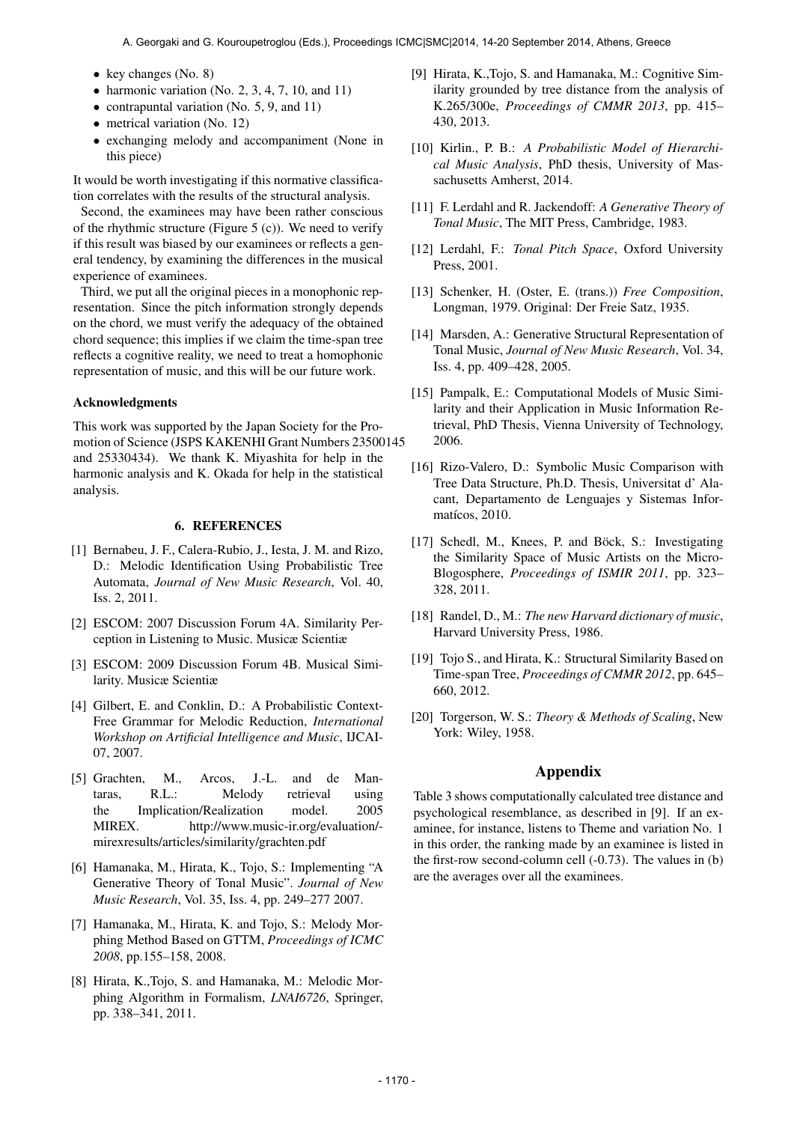- key changes (No. 8)
- harmonic variation (No. 2, 3, 4, 7, 10, and 11)
- contrapuntal variation (No. 5, 9, and 11)
- metrical variation (No. 12)
- exchanging melody and accompaniment (None in this piece)

It would be worth investigating if this normative classification correlates with the results of the structural analysis.

Second, the examinees may have been rather conscious of the rhythmic structure (Figure  $5$  (c)). We need to verify if this result was biased by our examinees or reflects a general tendency, by examining the differences in the musical experience of examinees.

Third, we put all the original pieces in a monophonic representation. Since the pitch information strongly depends on the chord, we must verify the adequacy of the obtained chord sequence; this implies if we claim the time-span tree reflects a cognitive reality, we need to treat a homophonic representation of music, and this will be our future work.

## Acknowledgments

This work was supported by the Japan Society for the Promotion of Science (JSPS KAKENHI Grant Numbers 23500145 and 25330434). We thank K. Miyashita for help in the harmonic analysis and K. Okada for help in the statistical analysis.

#### 6. REFERENCES

- [1] Bernabeu, J. F., Calera-Rubio, J., Iesta, J. M. and Rizo, D.: Melodic Identification Using Probabilistic Tree Automata, *Journal of New Music Research*, Vol. 40, Iss. 2, 2011.
- [2] ESCOM: 2007 Discussion Forum 4A. Similarity Perception in Listening to Music. Musicæ Scientiæ
- [3] ESCOM: 2009 Discussion Forum 4B. Musical Similarity. Musicæ Scientiæ
- [4] Gilbert, E. and Conklin, D.: A Probabilistic Context-Free Grammar for Melodic Reduction, *International Workshop on Artificial Intelligence and Music*, IJCAI-07, 2007.
- [5] Grachten, M., Arcos, J.-L. and de Mantaras, R.L.: Melody retrieval using the Implication/Realization model. 2005 MIREX. http://www.music-ir.org/evaluation/ mirexresults/articles/similarity/grachten.pdf
- [6] Hamanaka, M., Hirata, K., Tojo, S.: Implementing "A Generative Theory of Tonal Music". *Journal of New Music Research*, Vol. 35, Iss. 4, pp. 249–277 2007.
- [7] Hamanaka, M., Hirata, K. and Tojo, S.: Melody Morphing Method Based on GTTM, *Proceedings of ICMC 2008*, pp.155–158, 2008.
- [8] Hirata, K.,Tojo, S. and Hamanaka, M.: Melodic Morphing Algorithm in Formalism, *LNAI6726*, Springer, pp. 338–341, 2011.
- [9] Hirata, K.,Tojo, S. and Hamanaka, M.: Cognitive Similarity grounded by tree distance from the analysis of K.265/300e, *Proceedings of CMMR 2013*, pp. 415– 430, 2013.
- [10] Kirlin., P. B.: *A Probabilistic Model of Hierarchical Music Analysis*, PhD thesis, University of Massachusetts Amherst, 2014.
- [11] F. Lerdahl and R. Jackendoff: *A Generative Theory of Tonal Music*, The MIT Press, Cambridge, 1983.
- [12] Lerdahl, F.: *Tonal Pitch Space*, Oxford University Press, 2001.
- [13] Schenker, H. (Oster, E. (trans.)) *Free Composition*, Longman, 1979. Original: Der Freie Satz, 1935.
- [14] Marsden, A.: Generative Structural Representation of Tonal Music, *Journal of New Music Research*, Vol. 34, Iss. 4, pp. 409–428, 2005.
- [15] Pampalk, E.: Computational Models of Music Similarity and their Application in Music Information Retrieval, PhD Thesis, Vienna University of Technology, 2006.
- [16] Rizo-Valero, D.: Symbolic Music Comparison with Tree Data Structure, Ph.D. Thesis, Universitat d' Alacant, Departamento de Lenguajes y Sistemas Informatícos, 2010.
- [17] Schedl, M., Knees, P. and Böck, S.: Investigating the Similarity Space of Music Artists on the Micro-Blogosphere, *Proceedings of ISMIR 2011*, pp. 323– 328, 2011.
- [18] Randel, D., M.: *The new Harvard dictionary of music*, Harvard University Press, 1986.
- [19] Tojo S., and Hirata, K.: Structural Similarity Based on Time-span Tree, *Proceedings of CMMR 2012*, pp. 645– 660, 2012.
- [20] Torgerson, W. S.: *Theory & Methods of Scaling*, New York: Wiley, 1958.

# Appendix

Table 3 shows computationally calculated tree distance and psychological resemblance, as described in [9]. If an examinee, for instance, listens to Theme and variation No. 1 in this order, the ranking made by an examinee is listed in the first-row second-column cell (-0.73). The values in (b) are the averages over all the examinees.